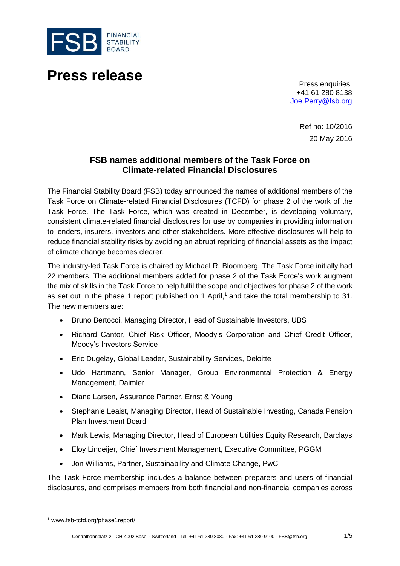

# **Press release**

Press enquiries: +41 61 280 8138 [Joe.Perry@fsb.org](mailto:Joe.Perry@fsb.org)

> Ref no: 10/2016 20 May 2016

## **FSB names additional members of the Task Force on Climate-related Financial Disclosures**

The Financial Stability Board (FSB) today announced the names of additional members of the Task Force on Climate-related Financial Disclosures (TCFD) for phase 2 of the work of the Task Force. The Task Force, which was created in December, is developing voluntary, consistent climate-related financial disclosures for use by companies in providing information to lenders, insurers, investors and other stakeholders. More effective disclosures will help to reduce financial stability risks by avoiding an abrupt repricing of financial assets as the impact of climate change becomes clearer.

The industry-led Task Force is chaired by Michael R. Bloomberg. The Task Force initially had 22 members. The additional members added for phase 2 of the Task Force's work augment the mix of skills in the Task Force to help fulfil the scope and objectives for phase 2 of the work as set out in the phase 1 report published on 1 April, <sup>1</sup> and take the total membership to 31. The new members are:

- Bruno Bertocci, Managing Director, Head of Sustainable Investors, UBS
- Richard Cantor, Chief Risk Officer, Moody's Corporation and Chief Credit Officer, Moody's Investors Service
- Eric Dugelay, Global Leader, Sustainability Services, Deloitte
- Udo Hartmann, Senior Manager, Group Environmental Protection & Energy Management, Daimler
- Diane Larsen, Assurance Partner, Ernst & Young
- Stephanie Leaist, Managing Director, Head of Sustainable Investing, Canada Pension Plan Investment Board
- Mark Lewis, Managing Director, Head of European Utilities Equity Research, Barclays
- Eloy Lindeijer, Chief Investment Management, Executive Committee, PGGM
- Jon Williams, Partner, Sustainability and Climate Change, PwC

The Task Force membership includes a balance between preparers and users of financial disclosures, and comprises members from both financial and non-financial companies across

l

<sup>1</sup> www.fsb-tcfd.org/phase1report/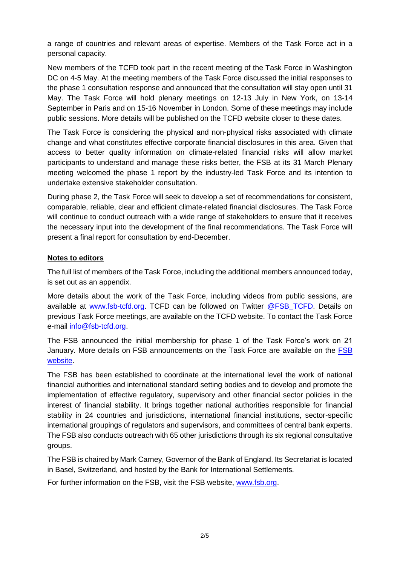a range of countries and relevant areas of expertise. Members of the Task Force act in a personal capacity.

New members of the TCFD took part in the recent meeting of the Task Force in Washington DC on 4-5 May. At the meeting members of the Task Force discussed the initial responses to the phase 1 consultation response and announced that the consultation will stay open until 31 May. The Task Force will hold plenary meetings on 12-13 July in New York, on 13-14 September in Paris and on 15-16 November in London. Some of these meetings may include public sessions. More details will be published on the TCFD website closer to these dates.

The Task Force is considering the physical and non-physical risks associated with climate change and what constitutes effective corporate financial disclosures in this area. Given that access to better quality information on climate-related financial risks will allow market participants to understand and manage these risks better, the FSB at its 31 March Plenary meeting welcomed the phase 1 report by the industry-led Task Force and its intention to undertake extensive stakeholder consultation.

During phase 2, the Task Force will seek to develop a set of recommendations for consistent, comparable, reliable, clear and efficient climate-related financial disclosures. The Task Force will continue to conduct outreach with a wide range of stakeholders to ensure that it receives the necessary input into the development of the final recommendations. The Task Force will present a final report for consultation by end-December.

#### **Notes to editors**

The full list of members of the Task Force, including the additional members announced today, is set out as an appendix.

More details about the work of the Task Force, including videos from public sessions, are available at [www.fsb-tcfd.org.](http://www.fsb-tcfd.org/) TCFD can be followed on Twitter [@FSB\\_TCFD.](https://twitter.com/FSB_TCFD) Details on previous Task Force meetings, are available on the TCFD website. To contact the Task Force e-mail [info@fsb-tcfd.org.](mailto:info@fsb-tcfd.org)

The FSB announced the initial membership for phase 1 of the Task Force's work on 21 January. More details on FSB announcements on the Task Force are available on the [FSB](http://www.fsb.org/what-we-do/policy-development/additional-policy-areas/developing-climate-related-financial-disclosures/)  [website.](http://www.fsb.org/what-we-do/policy-development/additional-policy-areas/developing-climate-related-financial-disclosures/)

The FSB has been established to coordinate at the international level the work of national financial authorities and international standard setting bodies and to develop and promote the implementation of effective regulatory, supervisory and other financial sector policies in the interest of financial stability. It brings together national authorities responsible for financial stability in 24 countries and jurisdictions, international financial institutions, sector-specific international groupings of regulators and supervisors, and committees of central bank experts. The FSB also conducts outreach with 65 other jurisdictions through its six regional consultative groups.

The FSB is chaired by Mark Carney, Governor of the Bank of England. Its Secretariat is located in Basel, Switzerland, and hosted by the Bank for International Settlements.

For further information on the FSB, visit the FSB website, [www.fsb.org.](http://www.fsb.org/)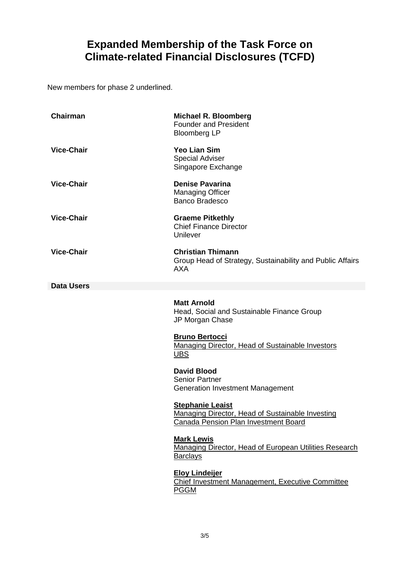## **Expanded Membership of the Task Force on Climate-related Financial Disclosures (TCFD)**

New members for phase 2 underlined.

| <b>Chairman</b>   | <b>Michael R. Bloomberg</b><br><b>Founder and President</b><br><b>Bloomberg LP</b>                                         |
|-------------------|----------------------------------------------------------------------------------------------------------------------------|
| <b>Vice-Chair</b> | <b>Yeo Lian Sim</b><br><b>Special Adviser</b><br>Singapore Exchange                                                        |
| <b>Vice-Chair</b> | <b>Denise Pavarina</b><br><b>Managing Officer</b><br><b>Banco Bradesco</b>                                                 |
| <b>Vice-Chair</b> | <b>Graeme Pitkethly</b><br><b>Chief Finance Director</b><br>Unilever                                                       |
| <b>Vice-Chair</b> | <b>Christian Thimann</b><br>Group Head of Strategy, Sustainability and Public Affairs<br><b>AXA</b>                        |
| <b>Data Users</b> |                                                                                                                            |
|                   | <b>Matt Arnold</b><br>Head, Social and Sustainable Finance Group<br>JP Morgan Chase                                        |
|                   | <b>Bruno Bertocci</b><br>Managing Director, Head of Sustainable Investors<br>UBS                                           |
|                   | <b>David Blood</b><br><b>Senior Partner</b><br><b>Generation Investment Management</b>                                     |
|                   | <b>Stephanie Leaist</b><br>Managing Director, Head of Sustainable Investing<br><b>Canada Pension Plan Investment Board</b> |
|                   | <b>Mark Lewis</b><br>Managing Director, Head of European Utilities Research<br><b>Barclays</b>                             |
|                   | <b>Eloy Lindeijer</b><br>Chief Investment Management, Executive Committee<br><b>PGGM</b>                                   |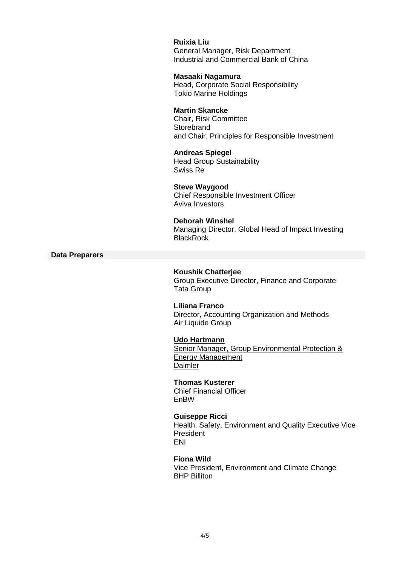**Ruixia Liu** General Manager, Risk Department Industrial and Commercial Bank of China **Masaaki Nagamura** Head, Corporate Social Responsibility Tokio Marine Holdings **Martin Skancke** Chair, Risk Committee **Storebrand** and Chair, Principles for Responsible Investment **Andreas Spiegel** Head Group Sustainability Swiss Re **Steve Waygood** Chief Responsible Investment Officer Aviva Investors **Deborah Winshel** Managing Director, Global Head of Impact Investing **BlackRock Koushik Chatterjee** Group Executive Director, Finance and Corporate Tata Group **Liliana Franco** Director, Accounting Organization and Methods Air Liquide Group **Udo Hartmann** Senior Manager, Group Environmental Protection & Energy Management **Daimler Thomas Kusterer** Chief Financial Officer EnBW

**Data Preparers**

**Guiseppe Ricci** Health, Safety, Environment and Quality Executive Vice President ENI

**Fiona Wild** Vice President, Environment and Climate Change BHP Billiton